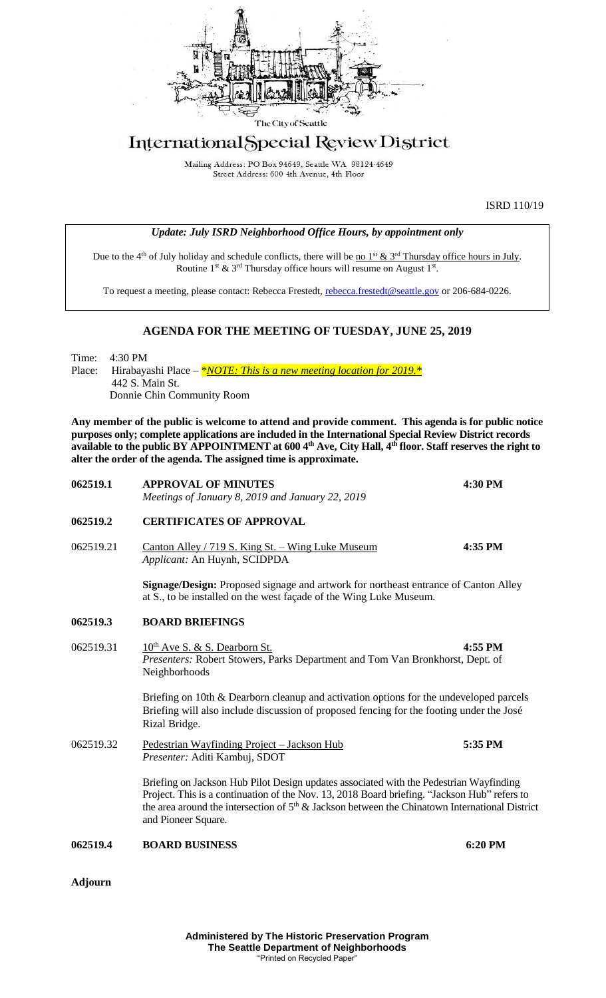

## International Special Review District

Mailing Address: PO Box 94649, Seattle WA 98124-4649 Street Address: 600 4th Avenue, 4th Floor

ISRD 110/19

|  | <b>Update: July ISRD Neighborhood Office Hours, by appointment only</b> |  |  |
|--|-------------------------------------------------------------------------|--|--|
|  |                                                                         |  |  |

Due to the 4<sup>th</sup> of July holiday and schedule conflicts, there will be <u>no 1<sup>st</sup> & 3<sup>rd</sup> Thursday office hours in July</u>. Routine  $1^{st}$  &  $3^{rd}$  Thursday office hours will resume on August  $1^{st}$ .

To request a meeting, please contact: Rebecca Frestedt, [rebecca.frestedt@seattle.gov](mailto:rebecca.frestedt@seattle.gov) or 206-684-0226.

## **AGENDA FOR THE MEETING OF TUESDAY, JUNE 25, 2019**

Time: 4:30 PM Place: Hirabayashi Place – *\*NOTE: This is a new meeting location for 2019.* \* 442 S. Main St. Donnie Chin Community Room

**Any member of the public is welcome to attend and provide comment. This agenda is for public notice purposes only; complete applications are included in the International Special Review District records available to the public BY APPOINTMENT at 600 4th Ave, City Hall, 4th floor. Staff reserves the right to alter the order of the agenda. The assigned time is approximate.** 

| 062519.1       | <b>APPROVAL OF MINUTES</b>                                                                                                                                                                                                                                                                                        | 4:30 PM |  |  |  |  |
|----------------|-------------------------------------------------------------------------------------------------------------------------------------------------------------------------------------------------------------------------------------------------------------------------------------------------------------------|---------|--|--|--|--|
|                | Meetings of January 8, 2019 and January 22, 2019                                                                                                                                                                                                                                                                  |         |  |  |  |  |
| 062519.2       | <b>CERTIFICATES OF APPROVAL</b>                                                                                                                                                                                                                                                                                   |         |  |  |  |  |
| 062519.21      | Canton Alley / 719 S. King St. - Wing Luke Museum<br>Applicant: An Huynh, SCIDPDA                                                                                                                                                                                                                                 | 4:35 PM |  |  |  |  |
|                | Signage/Design: Proposed signage and artwork for northeast entrance of Canton Alley<br>at S., to be installed on the west façade of the Wing Luke Museum.                                                                                                                                                         |         |  |  |  |  |
| 062519.3       | <b>BOARD BRIEFINGS</b>                                                                                                                                                                                                                                                                                            |         |  |  |  |  |
| 062519.31      | 10 <sup>th</sup> Ave S. & S. Dearborn St.<br>Presenters: Robert Stowers, Parks Department and Tom Van Bronkhorst, Dept. of<br>Neighborhoods                                                                                                                                                                       | 4:55 PM |  |  |  |  |
|                | Briefing on 10th & Dearborn cleanup and activation options for the undeveloped parcels<br>Briefing will also include discussion of proposed fencing for the footing under the José<br>Rizal Bridge.                                                                                                               |         |  |  |  |  |
| 062519.32      | Pedestrian Wayfinding Project - Jackson Hub<br>Presenter: Aditi Kambuj, SDOT                                                                                                                                                                                                                                      | 5:35 PM |  |  |  |  |
|                | Briefing on Jackson Hub Pilot Design updates associated with the Pedestrian Wayfinding<br>Project. This is a continuation of the Nov. 13, 2018 Board briefing. "Jackson Hub" refers to<br>the area around the intersection of $5th$ & Jackson between the Chinatown International District<br>and Pioneer Square. |         |  |  |  |  |
| 062519.4       | <b>BOARD BUSINESS</b>                                                                                                                                                                                                                                                                                             | 6:20 PM |  |  |  |  |
| <b>Adjourn</b> |                                                                                                                                                                                                                                                                                                                   |         |  |  |  |  |